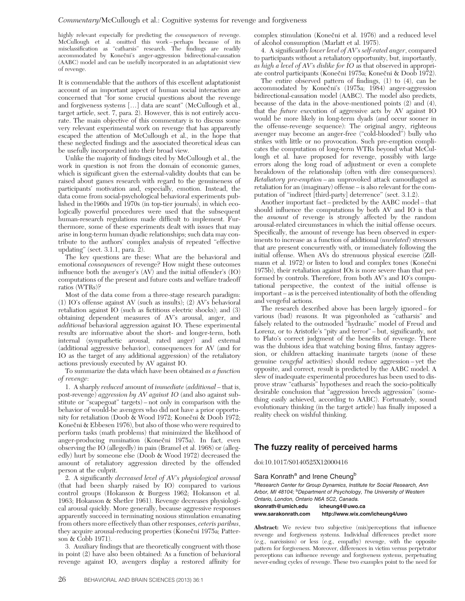highly relevant especially for predicting the consequences of revenge. McCullough et al. omitted this work – perhaps because of its misclassification as "catharsis" research. The findings are readily accommodated by Konečni's anger-aggression bidirectional-causation (AABC) model and can be usefully incorporated in an adaptationist view of revenge.

It is commendable that the authors of this excellent adaptationist account of an important aspect of human social interaction are concerned that "for some crucial questions about the revenge and forgiveness systems […] data are scant" (McCullough et al., target article, sect. 7, para. 2). However, this is not entirely accurate. The main objective of this commentary is to discuss some very relevant experimental work on revenge that has apparently escaped the attention of McCullough et al., in the hope that these neglected findings and the associated theoretical ideas can be usefully incorporated into their broad view.

Unlike the majority of findings cited by McCullough et al., the work in question is not from the domain of economic games, which is significant given the external-validity doubts that can be raised about games research with regard to the genuineness of participants' motivation and, especially, emotion. Instead, the data come from social-psychological behavioral experiments published in the1960s and 1970s (in top-tier journals), in which ecologically powerful procedures were used that the subsequent human-research regulations made difficult to implement. Furthermore, some of these experiments dealt with issues that may arise in long-term human dyadic relationships; such data may contribute to the authors' complex analysis of repeated "effective updating" (sect. 3.1.1, para. 2).

The key questions are these: What are the behavioral and emotional consequences of revenge? How might these outcomes influence both the avenger's  $(A\vec{V})$  and the initial offender's  $(IO)$ computations of the present and future costs and welfare tradeoff ratios (WTRs)?

Most of the data come from a three-stage research paradigm: (1) IO's offense against AV (such as insults); (2) AV's behavioral retaliation against IO (such as fictitious electric shocks); and (3) obtaining dependent measures of AV's arousal, anger, and additional behavioral aggression against IO. These experimental results are informative about the short- and longer-term, both internal (sympathetic arousal, rated anger) and external (additional aggressive behavior), consequences for AV (and for IO as the target of any additional aggression) of the retaliatory actions previously executed by AV against IO.

To summarize the data which have been obtained as a function of revenge:

1. A sharply reduced amount of immediate (additional – that is, post-revenge) aggression by AV against IO (and also against substitute or "scapegoat" targets) – not only in comparison with the behavior of would-be avengers who did not have a prior opportunity for retaliation (Doob & Wood 1972; Konečni & Doob 1972; Konečni & Ebbesen 1976), but also of those who were required to perform tasks (math problems) that minimized the likelihood of anger-producing rumination (Konečni 1975a). In fact, even observing the IO (allegedly) in pain (Bramel et al. 1968) or (allegedly) hurt by someone else (Doob & Wood 1972) decreased the amount of retaliatory aggression directed by the offended person at the culprit.

2. A significantly decreased level of AV's physiological arousal (that had been sharply raised by IO) compared to various control groups (Hokanson & Burgess 1962; Hokanson et al. 1963; Hokanson & Shetler 1961). Revenge decreases physiological arousal quickly. More generally, because aggressive responses apparently succeed in terminating noxious stimulation emanating from others more effectively than other responses, ceteris paribus, they acquire arousal-reducing properties (Konečni 1975a; Patterson & Cobb 1971).

3. Auxiliary findings that are theoretically congruent with those in point (2) have also been obtained: As a function of behavioral revenge against IO, avengers display a restored affinity for complex stimulation (Konečni et al. 1976) and a reduced level of alcohol consumption (Marlatt et al. 1975).

4. A significantly lower level of AV's self-rated anger, compared to participants without a retaliatory opportunity, but, importantly, as high a level of AV's dislike for IO as that observed in appropriate control participants (Konečni 1975a; Konečni & Doob 1972).

The entire observed pattern of findings, (1) to (4), can be accommodated by Konečni's (1975a; 1984) anger-aggression bidirectional-causation model (AABC). The model also predicts, because of the data in the above-mentioned points (2) and (4), that the future execution of aggressive acts by AV against IO would be more likely in long-term dyads (and occur sooner in the offense-revenge sequence): The original angry, righteous avenger may become an anger-free ("cold-blooded") bully who strikes with little or no provocation. Such pre-emption complicates the computation of long-term WTRs beyond what McCullough et al. have proposed for revenge, possibly with large errors along the long road of adjustment or even a complete breakdown of the relationship (often with dire consequences). Retaliatory pre-emption – an unprovoked attack camouflaged as retaliation for an (imaginary) offense – is also relevant for the computation of "indirect [third-party] deterrence" (sect. 3.1.2).

Another important fact – predicted by the AABC model – that should influence the computations by both AV and IO is that the amount of revenge is strongly affected by the random arousal-related circumstances in which the initial offense occurs. Specifically, the amount of revenge has been observed in experiments to increase as a function of additional (unrelated) stressors that are present concurrently with, or immediately following the initial offense. When AVs do strenuous physical exercise (Zillmann et al. 1972) or listen to loud and complex tones (Konečni 1975b), their retaliation against IOs is more severe than that performed by controls. Therefore, from both AV's and IO's computational perspective, the context of the initial offense is important – as is the perceived intentionality of both the offending and vengeful actions.

The research described above has been largely ignored – for various (bad) reasons. It was pigeonholed as "catharsis" and falsely related to the outmoded "hydraulic" model of Freud and Lorenz, or to Aristotle's "pity and terror" – but, significantly, not to Plato's correct judgment of the benefits of revenge. There was the dubious idea that watching boxing films, fantasy aggression, or children attacking inanimate targets (none of these genuine vengeful activities) should reduce aggression – yet the opposite, and correct, result is predicted by the AABC model. A slew of inadequate experimental procedures has been used to dis-prove straw "catharsis" hypotheses and reach the socio-politically desirable conclusion that "aggression breeds aggression" (something easily achieved, according to AABC). Fortunately, sound evolutionary thinking (in the target article) has finally imposed a reality check on wishful thinking.

## The fuzzy reality of perceived harms

doi:10.1017/S0140525X12000416

## Sara Konrath<sup>a</sup> and Irene Cheung<sup>b</sup>

aResearch Center for Group Dynamics, Institute for Social Research, Ann Arbor, MI 48104; <sup>b</sup>Department of Psychology, The University of Western Ontario, London, Ontario N6A 5C2, Canada. skonrath@umich.edu icheung4@uwo.ca

www.sarakonrath.com http://www.wix.com/icheung4/uwo

Abstract: We review two subjective (mis)perceptions that influence revenge and forgiveness systems. Individual differences predict more (e.g., narcissism) or less (e.g., empathy) revenge, with the opposite pattern for forgiveness. Moreover, differences in victim versus perpetrator perceptions can influence revenge and forgiveness systems, perpetuating never-ending cycles of revenge. These two examples point to the need for